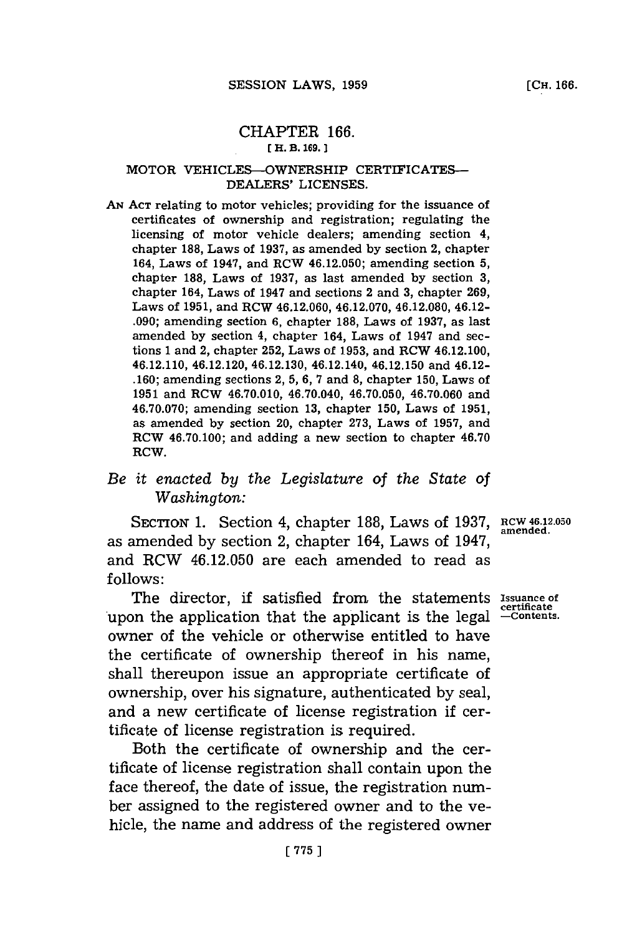## CHAPTER **166. [ H. B. 169.]1**

## MOTOR VEHICLES-OWNERSHIP **CERTIFICATES-DEALERS' LICENSES.**

**AN ACT** relating to motor vehicles; providing for the issuance of certificates of ownership and registration; regulating the licensing of motor vehicle dealers; amending section 4, chapter **188,** Laws of **1937,** as amended **by** section 2, chapter 164, Laws of 1947, and RCW 46.12.050; amending section **5,** chapter **188,** Laws of **1937,** as last amended **by** section **3,** chapter 164, Laws of 1947 and sections 2 and **3,** chapter **269,** Laws of **1951,** and RCW 46.12.060, 46.12.070, 46.12.080, 46.12- **.090;** amending section **6,** chapter **188,** Laws of **1937,** as last amended **by** section 4, chapter 164, Laws of 1947 and sections **1** and 2, chapter **252,** Laws of **1953,** and RCW 46.12.100, 46.12.110, 46.12.120, 46.12.130, 46.12.140, 46.12.150 and 46.12- **.160;** amending sections 2, **5, 6, 7** and **8,** chapter **150,** Laws of **1951** and RCW 46.70.010, 46.70.040, **46.70.050, 46.70.060** and **46.70.070;** amending section **13,** chapter **150,** Laws of **1951,** as amended **by** section 20, chapter **273,** Laws of **1957,** and RCW 46.70.100; and adding a new section to chapter 46.70 RCW.

## *Be it enacted by the Legislature of the State of Washington:*

SECTION 1. Section 4, chapter 188, Laws of 1937, RCW 46.12.050 as amended by section 2, chapter 164, Laws of 1947, and RCW 46.12.050 are each amended to read as **follows:**

The director, if satisfied from the statements Issuance of upon the application that the applicant is the legal  $\frac{\text{certificates}}{\text{Contents}}$ owner of the vehicle or otherwise entitled to have the certificate of ownership thereof in his name, shall thereupon issue an appropriate certificate of ownership, over his signature, authenticated **by** seal, and a new certificate of license registration if certificate of license registration is required.

Both the certificate of ownership and the certificate of license registration shall contain upon the face thereof, the date of issue, the registration number assigned to the registered owner and to the vehicle, the name and address of the registered owner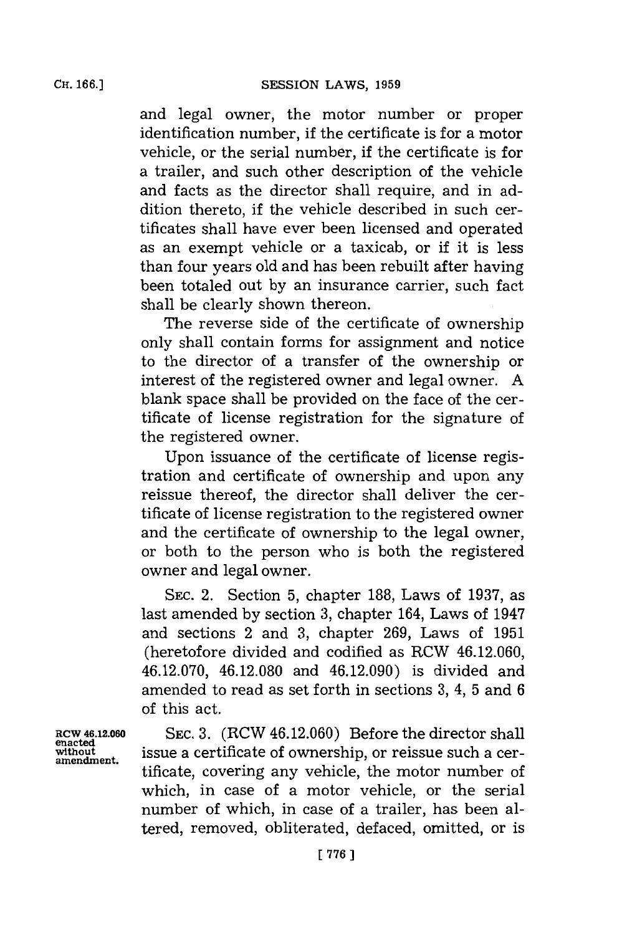Cir. **166.]**

and legal owner, the motor number or proper identification number, if the certificate is for a motor vehicle, or the serial number, if the certificate is for a trailer, and such other description of the vehicle and facts as the director shall require, and in addition thereto, if the vehicle described in such certificates shall have ever been licensed and operated as an exempt vehicle or a taxicab, or if it is less than four years old and has been rebuilt after having been totaled out **by** an insurance carrier, such fact shall be clearly shown thereon.

The reverse side of the certificate of ownership only shall contain forms for assignment and notice to the director of a transfer of the ownership or interest of the registered owner and legal owner. **A** blank space shall be provided on the face of the certificate of license registration for the signature of the registered owner.

Upon issuance of the certificate of license registration and certificate of ownership and upon any reissue thereof, the director shall deliver the certificate of license registration to the registered owner and the certificate of ownership to the legal owner, or both to the person who is both the registered owner and legal owner.

**SEc.** 2. Section **5,** chapter **188,** Laws of **1937,** as last amended **by** section **3,** chapter 164, Laws of 1947 and sections 2 and **3,** chapter **269,** Laws of **1951** (heretofore divided and codified as RCW 46.12.060, 46.12.070, 46.12.080 and 46.12.090) is divided and amended to read as set forth in sections **3,** 4, **5** and **6** of this act.

enacted<br>without **amendment.**

**RCW 46.12.060 SEc. 3.** (RCW 46.12.060) Before the director shall issue a certificate of ownership, or reissue such a certificate, covering any vehicle, the motor number of which, in case of a motor vehicle, or the serial number of which, in case of a trailer, has been altered, removed, obliterated, defaced, omitted, or is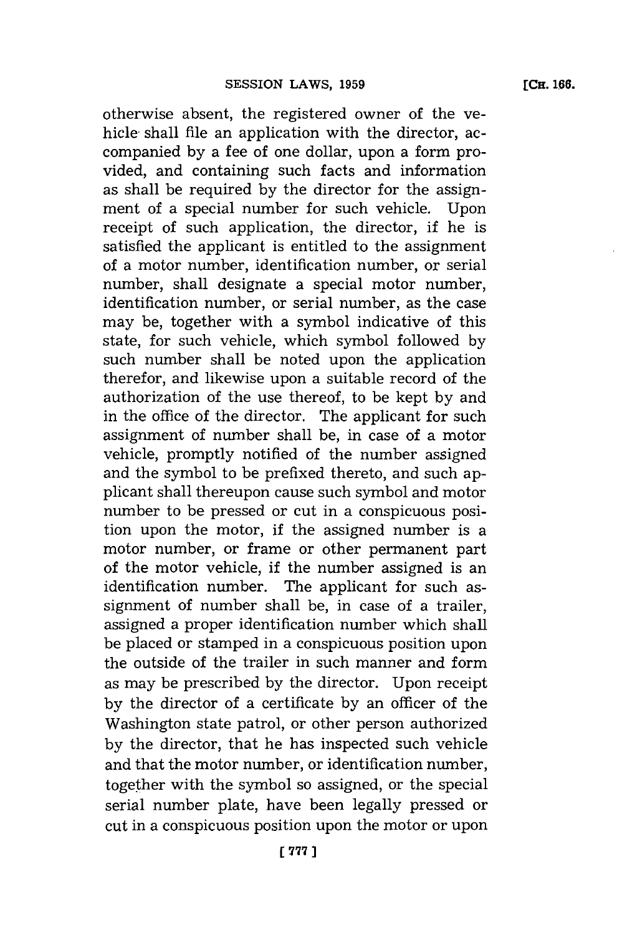otherwise absent, the registered owner of the yehicle shall file an application with the director, accompanied **by** a fee of one dollar, upon a form provided, and containing such facts and information as shall be required **by** the director for the assignment of a special number for such vehicle. Upon receipt of such application, the director, if he is satisfied the applicant is entitled to the assignment of a motor number, identification number, or serial number, shall designate a special motor number, identification number, or serial number, as the case may be, together with a symbol indicative of this state, for such vehicle, which symbol followed **by** such number shall be noted upon the application therefor, and likewise upon a suitable record of the authorization of the use thereof, to be kept **by** and in the office of the director. The applicant for such assignment of number shall be, in case of a motor vehicle, promptly notified of the number assigned and the symbol to be prefixed thereto, and such applicant shall thereupon cause such symbol and motor number to be pressed or cut in a conspicuous position upon the motor, if the assigned number is a motor number, or frame or other permanent part of the motor vehicle, if the number assigned is an identification number. The applicant for such assignment of number shall be, in case of a trailer, assigned a proper identification number which shall be placed or stamped in a conspicuous position upon the outside of the trailer in such manner and form as may be prescribed **by** the director. Upon receipt **by** the director of a certificate **by** an officer of the Washington state patrol, or other person authorized **by** the director, that he has inspected such vehicle and that the motor number, or identification number, together with the symbol so assigned, or the special serial number plate, have been legally pressed or cut in a conspicuous position upon the motor or upon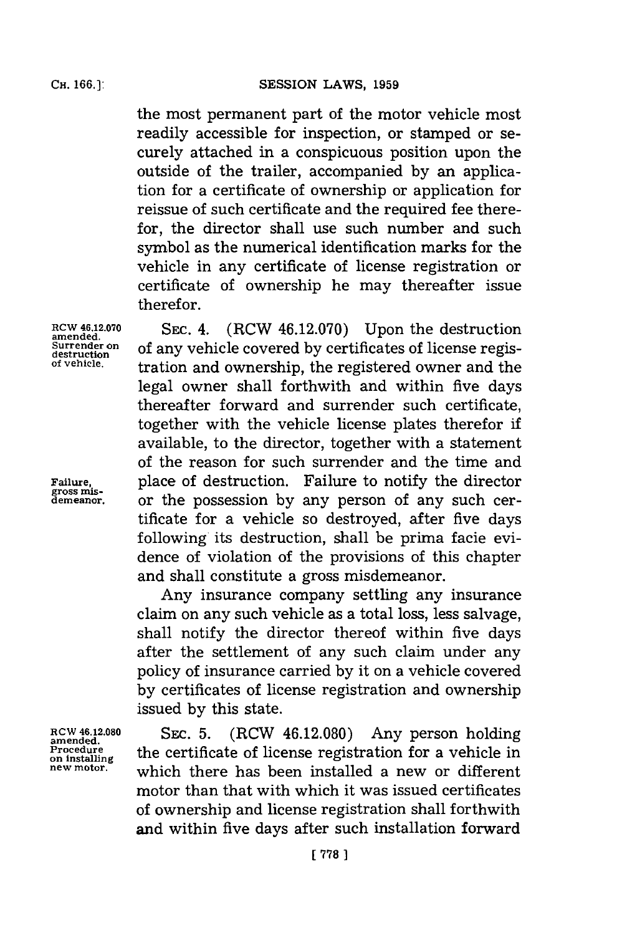the most permanent part of the motor vehicle most readily accessible for inspection, or stamped or securely attached in a conspicuous position upon the outside of the trailer, accompanied **by** an application for a certificate of ownership or application for reissue of such certificate and the required fee therefor, the director shall use such number and such symbol as the numerical identification marks for the vehicle in any certificate of license registration or certificate of ownership he may thereafter issue therefor.

amended.<br>Surrender on

**gross mis-**

**RCW 46.12.070 SEc.** 4. (RCW 46.12.070) Upon the destruction **Surrender on of any vehicle covered by certificates of license regis-**<br>destruction **and ownership**, the registered owner and the legal owner shall forthwith and within five days thereafter forward and surrender such certificate, together with the vehicle license plates therefor if available, to the director, together with a statement of the reason for such surrender and the time and **Failure,** place of destruction. Failure to notify the director **demeanor,** or the possession **by** any person of any such certificate for a vehicle so destroyed, after five days following its destruction, shall be prima facie evidence of violation of the provisions of this chapter and shall constitute a gross misdemeanor.

> Any insurance company settling any insurance claim on any such vehicle as a total loss, less salvage, shall notify the director thereof within five days after the settlement of any such claim under any policy of insurance carried **by** it on a vehicle covered **by** certificates of license registration and ownership issued **by** this state.

RCW 46.12.080 **SEC. 5.** (RCW 46.12.080) Any person holding Procedure the certificate of license registration for a vehicle in Procedure **the certificate of license registration for a vehicle in**<br>new motor, which there has been installed a new or different motor than that with which it was issued certificates of ownership and license registration shall forthwith and within five days after such installation forward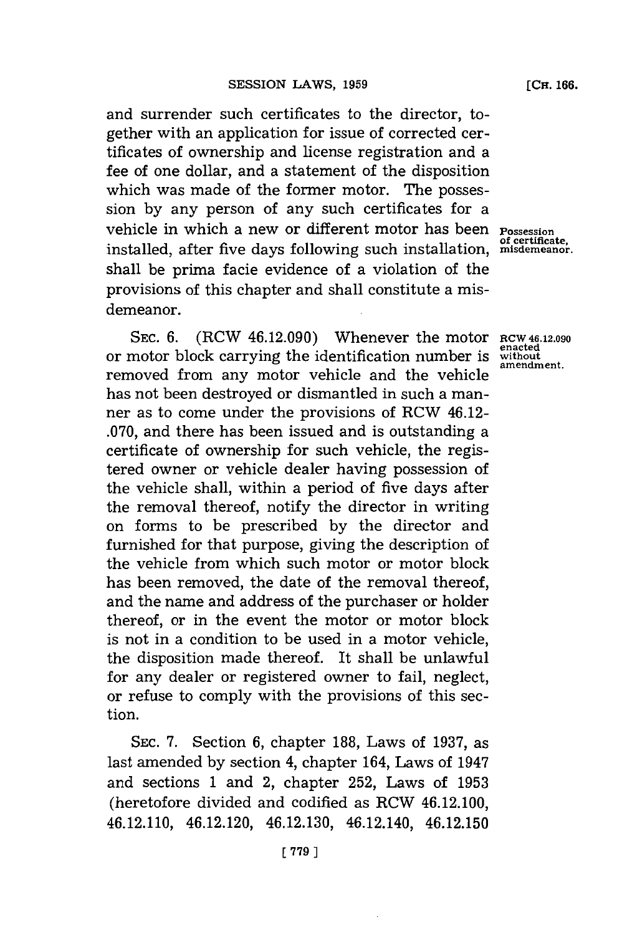and surrender such certificates to the director, together with an application **for** issue of corrected certificates of ownership and license registration and a fee of one dollar, and a statement of the disposition which was made of the former motor. The possession **by** any person of any such certificates for a vehicle in which a new or different motor has been **Possession of certificate,** installed, after five days following such instaliation, **misdemeanor.** shall be prima facie evidence of a violation of the provisions of this chapter and shall constitute a misdemeanor.

**SEC. 6.** (RCW 46.12.090) Whenever the motor **RCW 46.12.090** or motor block carrying the identification number is **withot** removed from any motor vehicle and the vehicle has not been destroyed or dismantled in such a manner as to come under the provisions of RCW 46.12- **.070,** and there has been issued and is outstanding a certificate of ownership for such vehicle, the registered owner or vehicle dealer having possession of the vehicle shall, within a period of five days after the removal thereof, notify the director in writing on forms to be prescribed **by** the director and furnished for that purpose, giving the description of the vehicle from which such motor or motor block has been removed, the date of the removal thereof. and the name and address of the purchaser or holder thereof, or in the event the motor or motor block is not in a condition to be used in a motor vehicle, the disposition made thereof. It shall be unlawful for any dealer or registered owner to fail, neglect, or refuse to comply with the provisions of this section.

SEC. **7.** Section **6,** chapter **188,** Laws of **1937,** as last amended **by** section 4, chapter 164, Laws of 1947 and sections 1 and 2, chapter **252,** Laws of **1953** (heretofore divided and codified as ROW 46.12.100, 46.12.110, 46.12.120, 46.12.130, 46.12.140, 46.12.150

**enacted**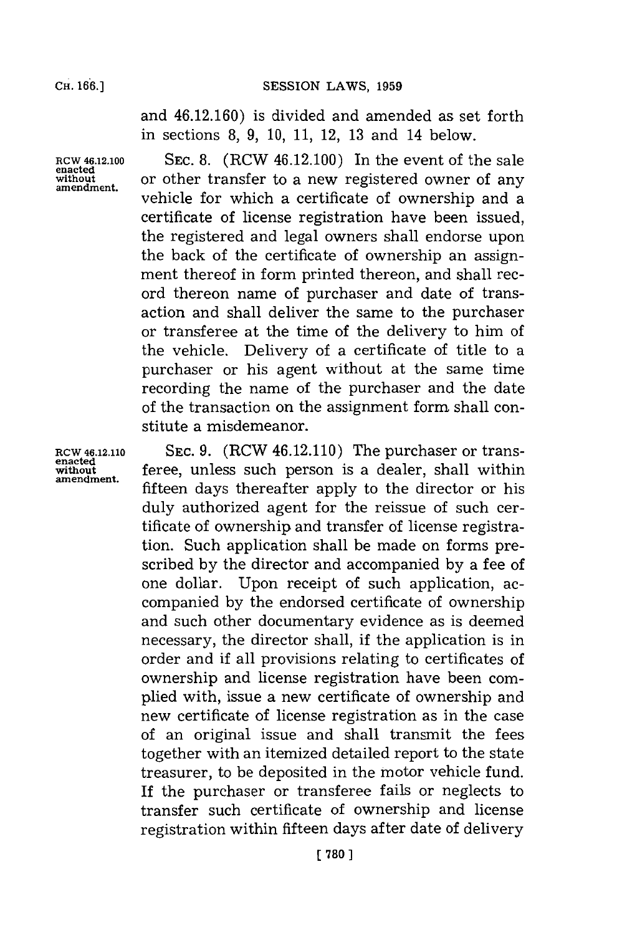and 46.12.160) is divided and amended as set forth in sections **8, 9, 10, 11,** 12, **13** and 14 below.

RCW 46.12.100<br>enacted<br>without

SEC. 8. (RCW 46.12.100) In the event of the sale **without** or other transfer to a new registered owner of any **amendment.** vehicle for which a certificate of ownership and a certificate of license registration have been issued, the registered and legal owners shall endorse upon the back of the certificate of ownership an assignment thereof in form printed thereon, and shall record thereon name of purchaser and date of transaction and shall deliver the same to the purchaser or transferee at the time of the delivery to him of the vehicle. Delivery of a certificate of title to a purchaser or his agent without at the same time recording the name of the purchaser and the date of the transaction on the assignment form shall constitute a misdemeanor.

**RCW 46.12.110 SEc. 9.** (RCW 46.12.110) The purchaser or transenatively feree, unless such person is a dealer, shall within fifteen days thereafter apply to the director or his duly authorized agent for the reissue of such certificate of ownership and transfer of license registration. Such application shall be made on forms prescribed **by** the director and accompanied **by** a fee of one dollar. Upon receipt of such application, accompanied **by** the endorsed certificate of ownership and such other documentary evidence as is deemed necessary, the director shall, if the application is in order and if all provisions relating to certificates of ownership and license registration have been complied with, issue a new certificate of ownership and new certificate of license registration as in the case of an original issue and shall transmit the fees together with an itemized detailed report to the state treasurer, to be deposited in the motor vehicle fund. If the purchaser or transferee fails or neglects to transfer such certificate of ownership and license registration within fifteen days after date of delivery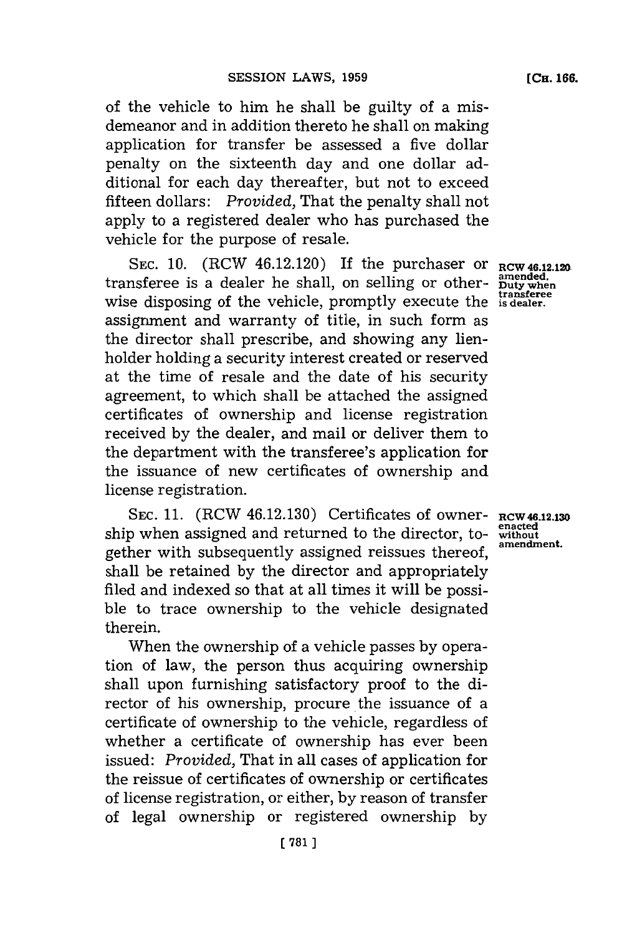of the vehicle to him he shall be guilty of a misdemeanor and in addition thereto he shall on making application for transfer be assessed a five dollar penalty on the sixteenth day and one dollar additional for each day thereafter, but not to exceed fifteen dollars: *Provided,* That the penalty shall not apply to a registered dealer who has purchased the vehicle for the purpose of resale.

SEC. 10. (RCW 46.12.120) If the purchaser or  $RCW$  46.12.12 transferee is a dealer he shall, on selling or otherwise disposing of the vehicle, promptly execute the is **dealer.** assignment and warranty of title, in such form as the director shall prescribe, and showing any lienholder holding a security interest created or reserved at the time of resale and the date of his security agreement, to which shall be attached the assigned certificates of ownership and license registration received **by** the dealer, and mail or deliver them to the department with the transferee's application for the issuance of new certificates of ownership and license registration.

**SEC. 11.** (RCW 46.12.130) Certificates of owner-**RCW 46.12.130** ship when assigned and returned to the director, together with subsequently assigned reissues thereof, shall be retained **by** the director and appropriately filed and indexed so that at all times it will be possible to trace ownership to the vehicle designated therein.

When the ownership of a vehicle passes **by** operation of law, the person thus acquiring ownership shall upon furnishing satisfactory proof to the director of his ownership, procure the issuance of a certificate of ownership to the vehicle, regardless of whether a certificate of ownership has ever been issued: *Provided,* That in all cases of application for the reissue of certificates of ownership or certificates of license registration, or either, **by** reason of transfer of legal ownership or registered ownership **by**

**amended. Duty when transferee**

**enacted without amendment.**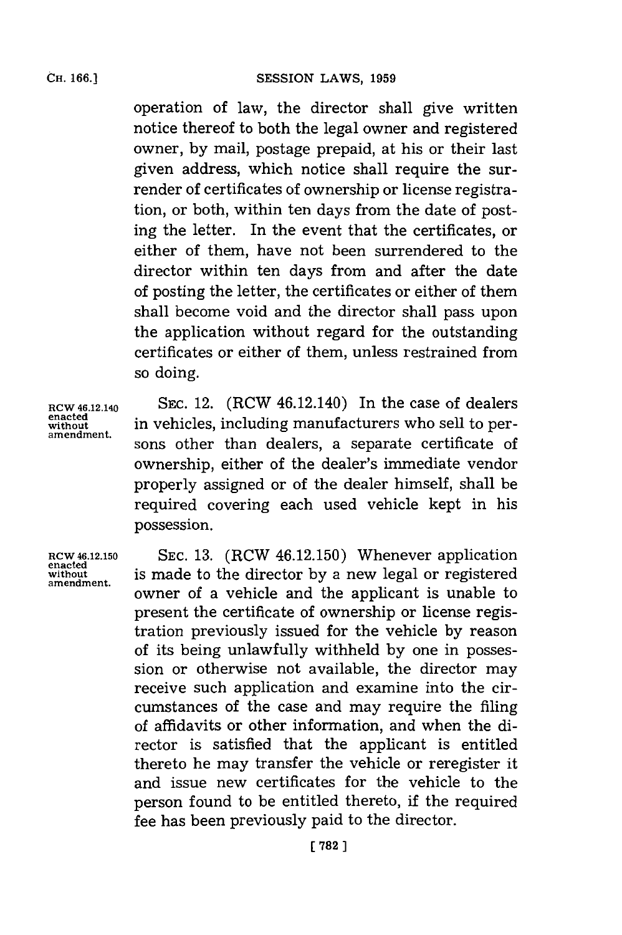operation of law, the director shall give written notice thereof to both the legal owner and registered owner, **by** mail, postage prepaid, at his or their last given address, which notice shall require the surrender of certificates of ownership or license registration, or both, within ten days from the date of posting the letter. In the event that the certificates, or either of them, have not been surrendered to the director within ten days from and after the date of posting the letter, the certificates or either of them

shall become void and the director shall pass upon the application without regard for the outstanding certificates or either of them, unless restrained from so doing.

**enacted**

**RCW 46.12.140 SEC.** 12. (RCW 46.12.140) In the case of dealers enacted in vehicles, including manufacturers who sell to per-<br>amendment. sons other than dealers, a separate certificate of ownership, either of the dealer's immediate vendor properly assigned or of the dealer himself, shall be required covering each used vehicle kept in his possession.

**RCW 46.12.150 SEC. 13.** (RCW 46.12.150) Whenever application **enacted without** is made to the director **by** a new legal or registered owner of a vehicle and the applicant is unable to present the certificate of ownership or license registration previously issued for the vehicle **by** reason of its being unlawfully withheld **by** one in possession or otherwise not available, the director may receive such application and examine into the circumstances of the case and may require the filing of affidavits or other information, and when the director is satisfied that the applicant is entitled thereto he may transfer the vehicle or reregister it and issue new certificates for the vehicle to the person found to be entitled thereto, if the required fee has been previously paid to the director.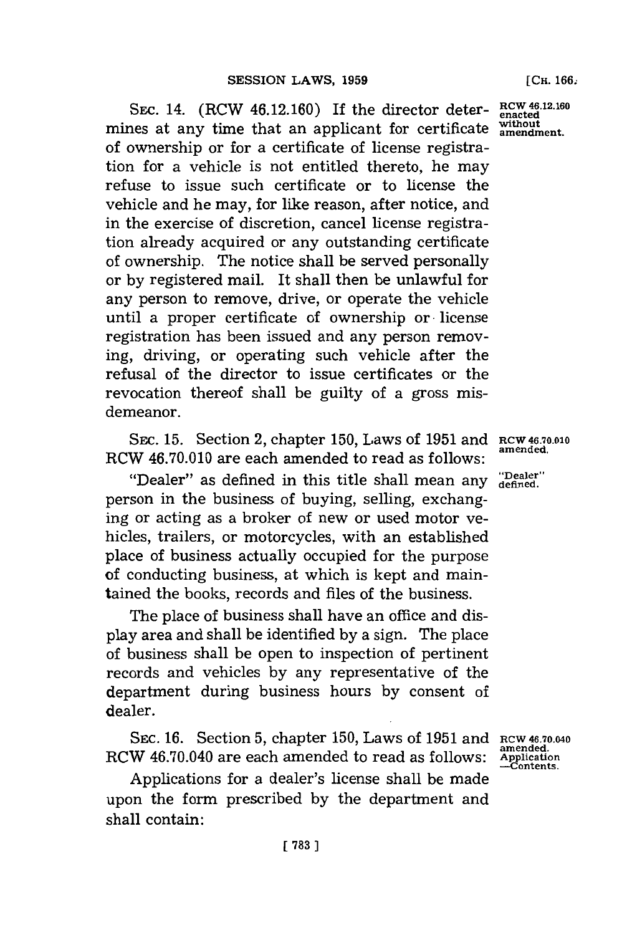**SEc.** 14. (RCW 46.12.160) If the director determines at any time that an applicant for certificate **without amendment.** of ownership or for a certificate of license registration for a vehicle is not entitled thereto, he may refuse to issue such certificate or to license the vehicle and he may, for like reason, after notice, and in the exercise of discretion, cancel license registration already acquired or any outstanding certificate of ownership. The notice shall be served personally or **by** registered mail. It shall then be unlawful for any person to remove, drive, or operate the vehicle until a proper certificate of ownership or license registration has been issued and any person removing, driving, or operating such vehicle after the refusal of the director to issue certificates or the revocation thereof shall be guilty of a gross misdemeanor.

SEC. 15. Section 2, chapter 150, Laws of 1951 and **RCW 46.70.010**<br> **REC. 15. Section 2, chapter 150, Laws of 1951 and RCW 46.70.010** RCW 46.70.010 are each amended to read as follows:

"Dealer" as defined in this title shall mean any "Dealer" person in the business of buying, selling, exchanging or acting as a broker of new or used motor vehicles, trailers, or motorcycles, with an established place of business actually occupied for the purpose **of** conducting business, at which is kept and maintained the books, records and files of the business.

The place of business shall have an office and display area and shall be identified **by** a sign. The place of business shall be open to inspection of pertinent records and vehicles **by** any representative of the department during business hours **by** consent of dealer.

**SEc. 16.** Section **5,** chapter **150,** Laws of **1951** and **RCW 46.70.04o** RCW 46.70.040 are each amended to read as follows:

Applications for a dealer's license shall be made upon the form prescribed **by** the department and shall contain:

**RCW 46.12.160 enacted**

**amended. Application -Contents.**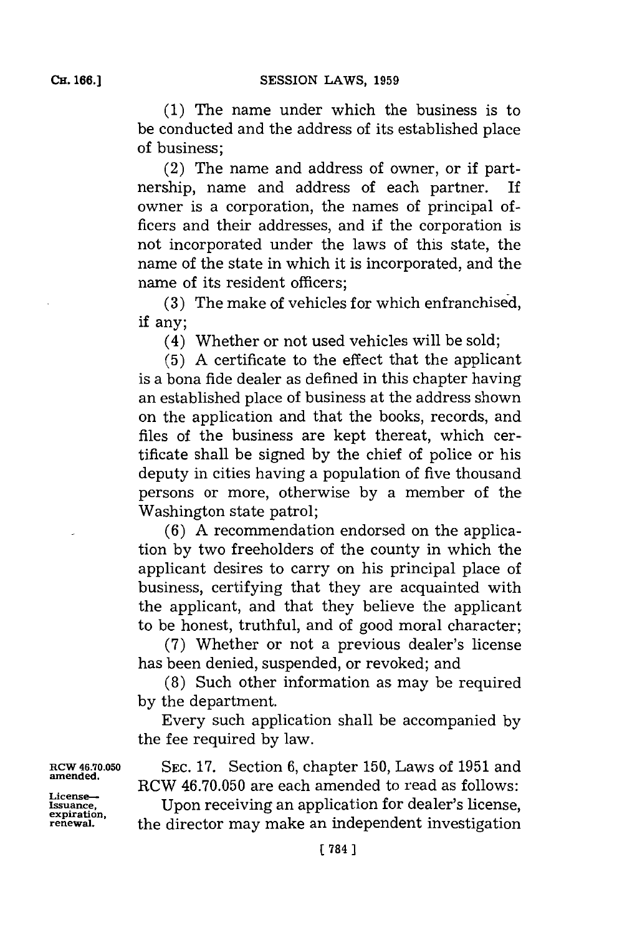**(1)** The name under which the business is to be conducted and the address of its established place of business;

(2) The name and address of owner, or if partnership, name and address of each partner. If owner is a corporation, the names of principal officers and their addresses, and if the corporation is not incorporated under the laws of this state, the name of the state in which it is incorporated, and the name of its resident officers;

(3) The make of vehicles for which enfranchised, if any;

(4) Whether or not used vehicles will be sold;

 $(5)$  A certificate to the effect that the applicant is a bona fide dealer as defined in this chapter having an established place of business at the address shown on the application and that the books, records, and files of the business are kept thereat, which certificate shall be signed **by** the chief of police or his deputy in cities having a population of five thousand persons or more , otherwise **by** a member of the Washington state patrol;

**(6) A** recommendation endorsed on the application **by** two freeholders of the county in which the applicant desires to carry on his principal place of business, certifying that they are acquainted with the applicant, and that they believe the applicant to be honest, truthful, and of good moral character;

**(7)** Whether or not a previous dealer's license has been denied, suspended, or revoked; and

**(8)** Such other information as may be required **by** the department.

Every such application shall be accompanied **by** the fee required **by** law.

**RCW 46.70.050** SEC. 17. Section 6, chapter 150, Laws of 1951 and amended. RCW 46.70.050 are each amended to read as follows:

**Issuance,** Upon receiving an application for dealer's license, **expiration,** the director may make an independent investigation

**License--**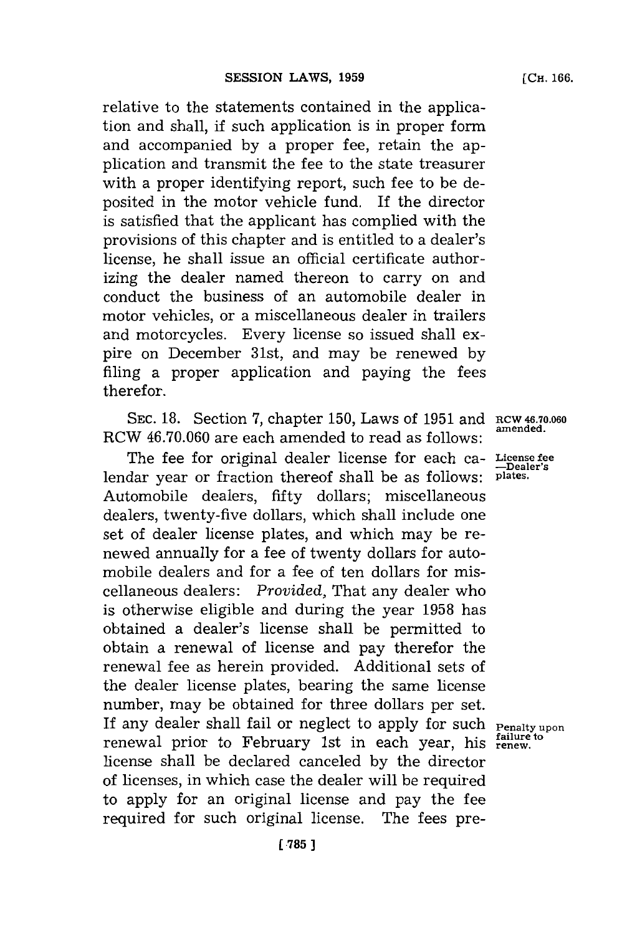relative to the statements contained in the application and shall, if such application is in proper form and accompanied **by** a proper fee, retain the application and transmit the fee to the state treasurer with a proper identifying report, such fee to be deposited in the motor vehicle fund. If the director is satisfied that the applicant has complied with the provisions of this chapter and is entitled to a dealer's license, he shall issue an official certificate authorizing the dealer named thereon to carry on and conduct the business of an automobile dealer in motor vehicles, or a miscellaneous dealer in trailers and motorcycles. Every license so issued shall expire on December 31st, and may be renewed by filing a proper application and paying the fees therefor.

**SEC. 18.** Section **7,** chapter **150,** Laws of **1951** and Rcw **46.7.060** RCW 46.70.060 are each amended to read as follows:

The fee for original dealer license for each ca- **License fee** lendar year or fraction thereof shall be as follows: plates. Automobile dealers, fifty dollars; miscellaneous dealers, twenty-five dollars, which shall include one set of dealer license plates, and which may be renewed annually for a fee of twenty dollars for automobile dealers and for a fee of ten dollars for miscellaneous dealers: *Provided,* That any dealer who is otherwise eligible and during the year **1958** has obtained a dealer's license shall be permitted to obtain a renewal of license and pay therefor the renewal fee as herein provided. Additional sets of the dealer license plates, bearing the same license number, may be obtained for three dollars per set. If any dealer shall fail or neglect to apply for such **Penalty upon** renewal prior to February 1st in each year, his **renew.** license shall be declared canceled **by** the director of licenses, in which case the dealer will be required to apply for an original license and pay the fee required for such original license. The fees pre-

**[CH. 166.**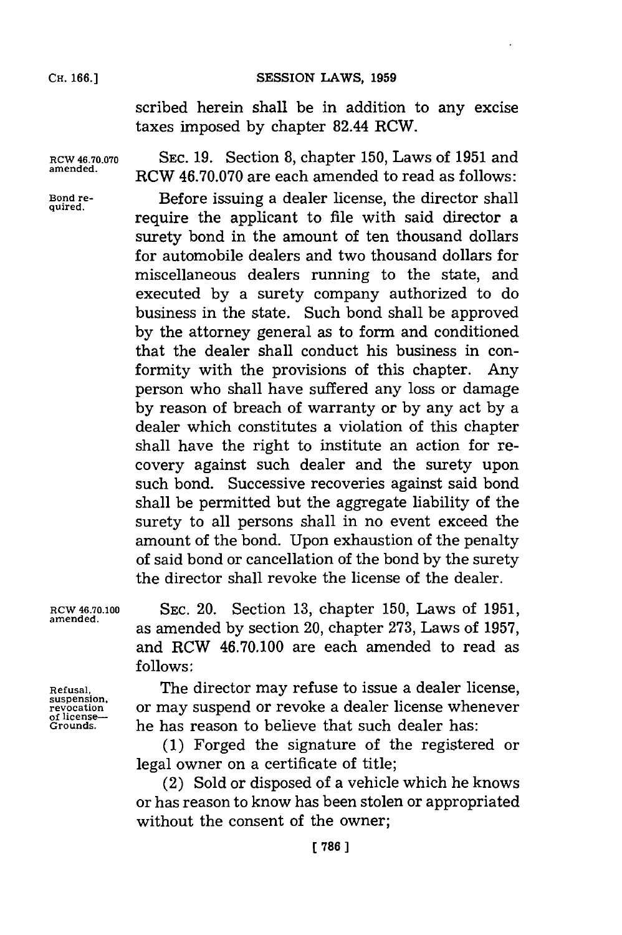## **SESSION LAWS, 1959**

**CH. 166.]**

scribed herein shall be in addition to any excise taxes imposed **by** chapter 82.44 RCW.

**RCW 46.70.070 SEC. 19.** Section **8,** chapter **150,** Laws of **1951** and **amended.** RCW **46.70.070** are each amended to read as follows:

Bond re-<br> **Before** issuing a dealer license, the director shall require the applicant to file with said director a surety bond in the amount of ten thousand dollars for automobile dealers and two thousand dollars for miscellaneous dealers running to the state, and executed **by** a surety company authorized to do business in the state. Such bond shall be approved **by** the attorney general as to form and conditioned that the dealer shall conduct his business in conformity with the provisions of this chapter. **Any** person who shall have suffered any loss or damage **by** reason of breach of warranty or **by** any act **by** a dealer which constitutes a violation of this chapter shall have the right to institute an action for recovery against such dealer and the surety upon such bond. Successive recoveries against said bond shall be permitted but the aggregate liability of the surety to all persons shall in no event exceed the amount of the bond. Upon exhaustion of the penalty of said bond or cancellation of the bond **by** the surety the director shall revoke the license of the dealer.

**of license--**

**RCW 46.70.100 SEC.** 20. Section **13,** chapter **150,** Laws of **1951,** amened. as amended **by** section 20, chapter **273,** Laws of **1957,** and RCW 46.70.100 are each amended to read as **follows:**

**Refusal,** The director may refuse to issue a dealer license, **suspension,** or may suspend or revoke a dealer license whenever **Grounds,** he has reason to believe that such dealer has:

> **(1)** Forged the signature of the registered or legal owner on a certificate of title;

> (2) Sold or disposed of a vehicle which he knows or has reason to know has been stolen or appropriated without the consent of the owner;